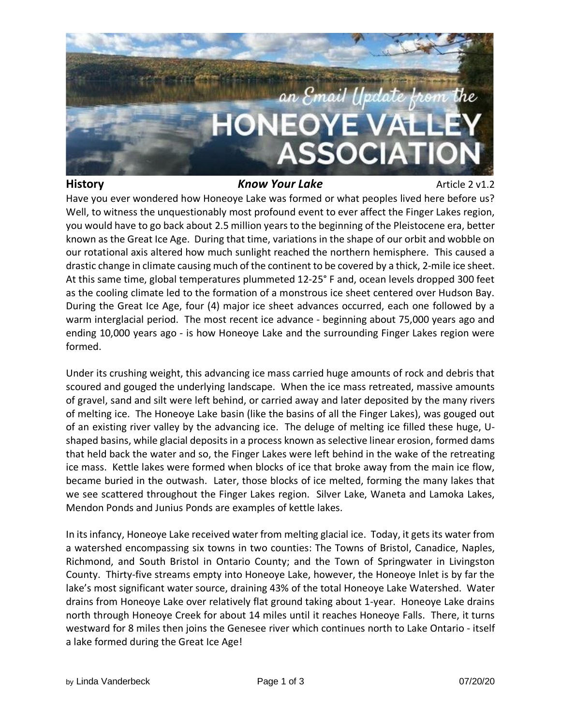

## **History** *Know Your Lake* Article 2 v1.2

Have you ever wondered how Honeoye Lake was formed or what peoples lived here before us? Well, to witness the unquestionably most profound event to ever affect the Finger Lakes region, you would have to go back about 2.5 million yearsto the beginning of the Pleistocene era, better known as the Great Ice Age. During that time, variations in the shape of our orbit and wobble on our rotational axis altered how much sunlight reached the northern hemisphere. This caused a drastic change in climate causing much of the continent to be covered by a thick, 2-mile ice sheet. At this same time, global temperatures plummeted 12-25° F and, ocean levels dropped 300 feet as the cooling climate led to the formation of a monstrous ice sheet centered over Hudson Bay. During the Great Ice Age, four (4) major ice sheet advances occurred, each one followed by a warm interglacial period. The most recent ice advance - beginning about 75,000 years ago and ending 10,000 years ago - is how Honeoye Lake and the surrounding Finger Lakes region were formed.

Under its crushing weight, this advancing ice mass carried huge amounts of rock and debris that scoured and gouged the underlying landscape. When the ice mass retreated, massive amounts of gravel, sand and silt were left behind, or carried away and later deposited by the many rivers of melting ice. The Honeoye Lake basin (like the basins of all the Finger Lakes), was gouged out of an existing river valley by the advancing ice. The deluge of melting ice filled these huge, Ushaped basins, while glacial depositsin a process known as selective linear erosion, formed dams that held back the water and so, the Finger Lakes were left behind in the wake of the retreating ice mass. Kettle lakes were formed when blocks of ice that broke away from the main ice flow, became buried in the outwash. Later, those blocks of ice melted, forming the many lakes that we see scattered throughout the Finger Lakes region. Silver Lake, Waneta and Lamoka Lakes, Mendon Ponds and Junius Ponds are examples of kettle lakes.

In its infancy, Honeoye Lake received water from melting glacial ice. Today, it gets its water from a watershed encompassing six towns in two counties: The Towns of Bristol, Canadice, Naples, Richmond, and South Bristol in Ontario County; and the Town of Springwater in Livingston County. Thirty-five streams empty into Honeoye Lake, however, the Honeoye Inlet is by far the lake's most significant water source, draining 43% of the total Honeoye Lake Watershed. Water drains from Honeoye Lake over relatively flat ground taking about 1-year. Honeoye Lake drains north through Honeoye Creek for about 14 miles until it reaches Honeoye Falls. There, it turns westward for 8 miles then joins the Genesee river which continues north to Lake Ontario - itself a lake formed during the Great Ice Age!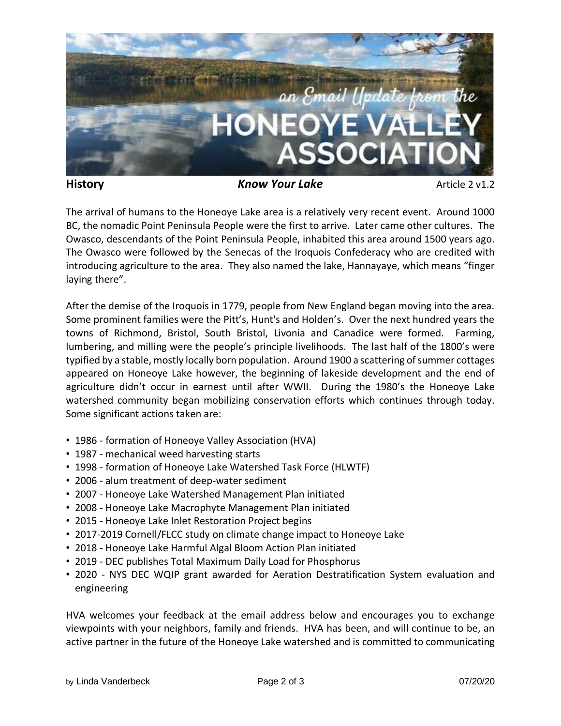

**History** *Know Your Lake* Article 2 v1.2

The arrival of humans to the Honeoye Lake area is a relatively very recent event. Around 1000 BC, the nomadic Point Peninsula People were the first to arrive. Later came other cultures. The Owasco, descendants of the Point Peninsula People, inhabited this area around 1500 years ago. The Owasco were followed by the Senecas of the Iroquois Confederacy who are credited with introducing agriculture to the area. They also named the lake, Hannayaye, which means "finger laying there".

After the demise of the Iroquois in 1779, people from New England began moving into the area. Some prominent families were the Pitt's, Hunt's and Holden's. Over the next hundred years the towns of Richmond, Bristol, South Bristol, Livonia and Canadice were formed. Farming, lumbering, and milling were the people's principle livelihoods. The last half of the 1800's were typified by a stable, mostly locally born population. Around 1900 a scattering of summer cottages appeared on Honeoye Lake however, the beginning of lakeside development and the end of agriculture didn't occur in earnest until after WWII. During the 1980's the Honeoye Lake watershed community began mobilizing conservation efforts which continues through today. Some significant actions taken are:

- 1986 formation of Honeoye Valley Association (HVA)
- 1987 mechanical weed harvesting starts
- 1998 formation of Honeoye Lake Watershed Task Force (HLWTF)
- 2006 alum treatment of deep-water sediment
- 2007 Honeoye Lake Watershed Management Plan initiated
- 2008 Honeoye Lake Macrophyte Management Plan initiated
- 2015 Honeoye Lake Inlet Restoration Project begins
- 2017-2019 Cornell/FLCC study on climate change impact to Honeoye Lake
- 2018 Honeoye Lake Harmful Algal Bloom Action Plan initiated
- 2019 DEC publishes Total Maximum Daily Load for Phosphorus
- 2020 NYS DEC WQIP grant awarded for Aeration Destratification System evaluation and engineering

HVA welcomes your feedback at the email address below and encourages you to exchange viewpoints with your neighbors, family and friends. HVA has been, and will continue to be, an active partner in the future of the Honeoye Lake watershed and is committed to communicating